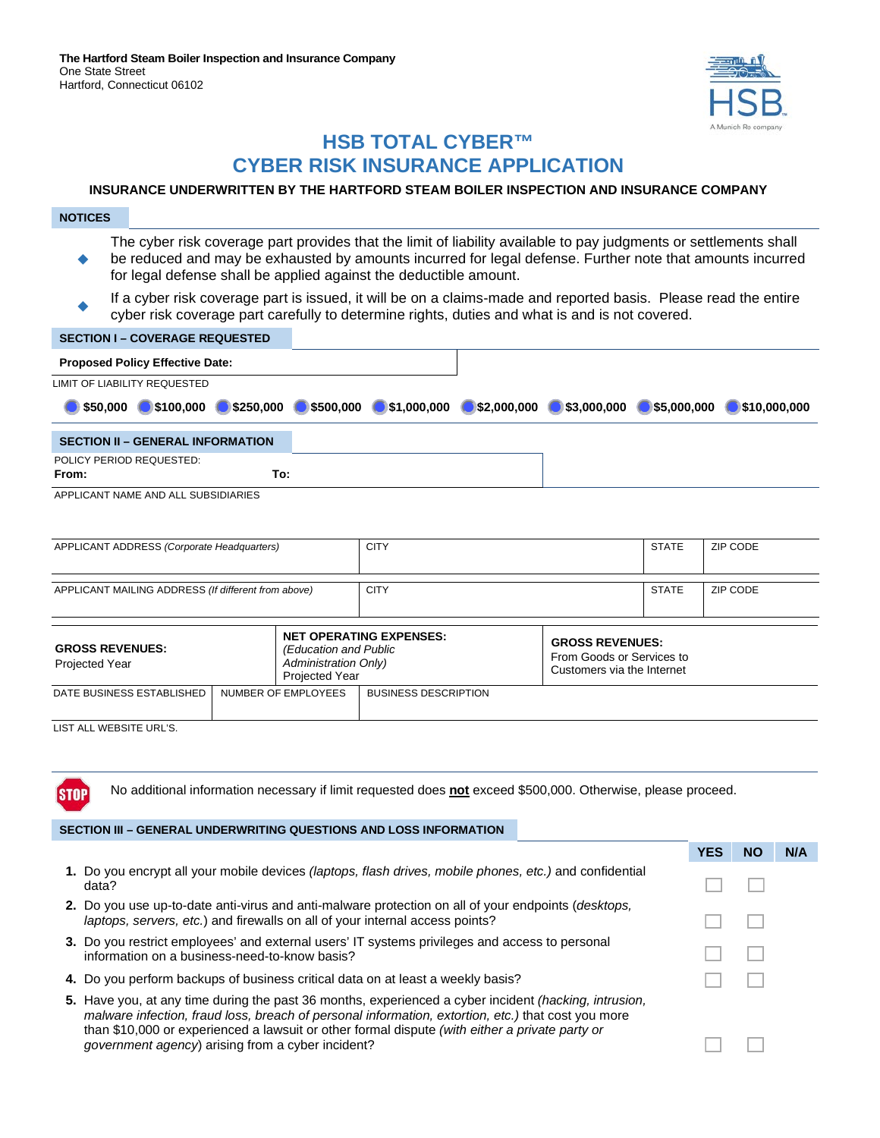

# **HSB TOTAL CYBER™ CYBER RISK INSURANCE APPLICATION**

## **INSURANCE UNDERWRITTEN BY THE HARTFORD STEAM BOILER INSPECTION AND INSURANCE COMPANY**

| <b>NOTICES</b>                                                                                                                                                                                                                                                                                      |                     |                                                                        |                                |             |                                                                                   |              |              |
|-----------------------------------------------------------------------------------------------------------------------------------------------------------------------------------------------------------------------------------------------------------------------------------------------------|---------------------|------------------------------------------------------------------------|--------------------------------|-------------|-----------------------------------------------------------------------------------|--------------|--------------|
| The cyber risk coverage part provides that the limit of liability available to pay judgments or settlements shall<br>be reduced and may be exhausted by amounts incurred for legal defense. Further note that amounts incurred<br>for legal defense shall be applied against the deductible amount. |                     |                                                                        |                                |             |                                                                                   |              |              |
| If a cyber risk coverage part is issued, it will be on a claims-made and reported basis. Please read the entire<br>cyber risk coverage part carefully to determine rights, duties and what is and is not covered.                                                                                   |                     |                                                                        |                                |             |                                                                                   |              |              |
| <b>SECTION I - COVERAGE REQUESTED</b>                                                                                                                                                                                                                                                               |                     |                                                                        |                                |             |                                                                                   |              |              |
| <b>Proposed Policy Effective Date:</b>                                                                                                                                                                                                                                                              |                     |                                                                        |                                |             |                                                                                   |              |              |
| <b>LIMIT OF LIABILITY REQUESTED</b>                                                                                                                                                                                                                                                                 |                     |                                                                        |                                |             |                                                                                   |              |              |
| \$50,000<br>\$100,000                                                                                                                                                                                                                                                                               | \$250.000           | \$500.000                                                              | \$1,000,000                    | \$2,000,000 | \$3,000,000                                                                       | \$5,000,000  | \$10,000,000 |
| <b>SECTION II - GENERAL INFORMATION</b>                                                                                                                                                                                                                                                             |                     |                                                                        |                                |             |                                                                                   |              |              |
| POLICY PERIOD REQUESTED:<br>From:                                                                                                                                                                                                                                                                   | To:                 |                                                                        |                                |             |                                                                                   |              |              |
| APPLICANT NAME AND ALL SUBSIDIARIES                                                                                                                                                                                                                                                                 |                     |                                                                        |                                |             |                                                                                   |              |              |
|                                                                                                                                                                                                                                                                                                     |                     |                                                                        |                                |             |                                                                                   |              |              |
| APPLICANT ADDRESS (Corporate Headquarters)                                                                                                                                                                                                                                                          |                     |                                                                        | <b>CITY</b>                    |             |                                                                                   | <b>STATE</b> | ZIP CODE     |
| APPLICANT MAILING ADDRESS (If different from above)                                                                                                                                                                                                                                                 |                     |                                                                        | <b>CITY</b>                    |             |                                                                                   | <b>STATE</b> | ZIP CODE     |
| <b>GROSS REVENUES:</b><br><b>Projected Year</b>                                                                                                                                                                                                                                                     |                     | (Education and Public<br><b>Administration Only)</b><br>Projected Year | <b>NET OPERATING EXPENSES:</b> |             | <b>GROSS REVENUES:</b><br>From Goods or Services to<br>Customers via the Internet |              |              |
| DATE BUSINESS ESTABLISHED                                                                                                                                                                                                                                                                           | NUMBER OF EMPLOYEES |                                                                        | <b>BUSINESS DESCRIPTION</b>    |             |                                                                                   |              |              |
| LIST ALL WEBSITE URL'S.                                                                                                                                                                                                                                                                             |                     |                                                                        |                                |             |                                                                                   |              |              |

No additional information necessary if limit requested does **not** exceed \$500,000. Otherwise, please proceed.

#### **SECTION III – GENERAL UNDERWRITING QUESTIONS AND LOSS INFORMATION**

**STOP** 

|                                                                                                                                                                                                                                                                                                                                                                           | <b>YES</b> | NO | N/A |
|---------------------------------------------------------------------------------------------------------------------------------------------------------------------------------------------------------------------------------------------------------------------------------------------------------------------------------------------------------------------------|------------|----|-----|
| 1. Do you encrypt all your mobile devices <i>(laptops, flash drives, mobile phones, etc.)</i> and confidential<br>data?                                                                                                                                                                                                                                                   |            |    |     |
| 2. Do you use up-to-date anti-virus and anti-malware protection on all of your endpoints ( <i>desktops</i> ,<br>laptops, servers, etc.) and firewalls on all of your internal access points?                                                                                                                                                                              |            |    |     |
| 3. Do you restrict employees' and external users' IT systems privileges and access to personal<br>information on a business-need-to-know basis?                                                                                                                                                                                                                           |            |    |     |
| 4. Do you perform backups of business critical data on at least a weekly basis?                                                                                                                                                                                                                                                                                           |            |    |     |
| 5. Have you, at any time during the past 36 months, experienced a cyber incident <i>(hacking, intrusion,</i><br>malware infection, fraud loss, breach of personal information, extortion, etc.) that cost you more<br>than \$10,000 or experienced a lawsuit or other formal dispute (with either a private party or<br>government agency) arising from a cyber incident? |            |    |     |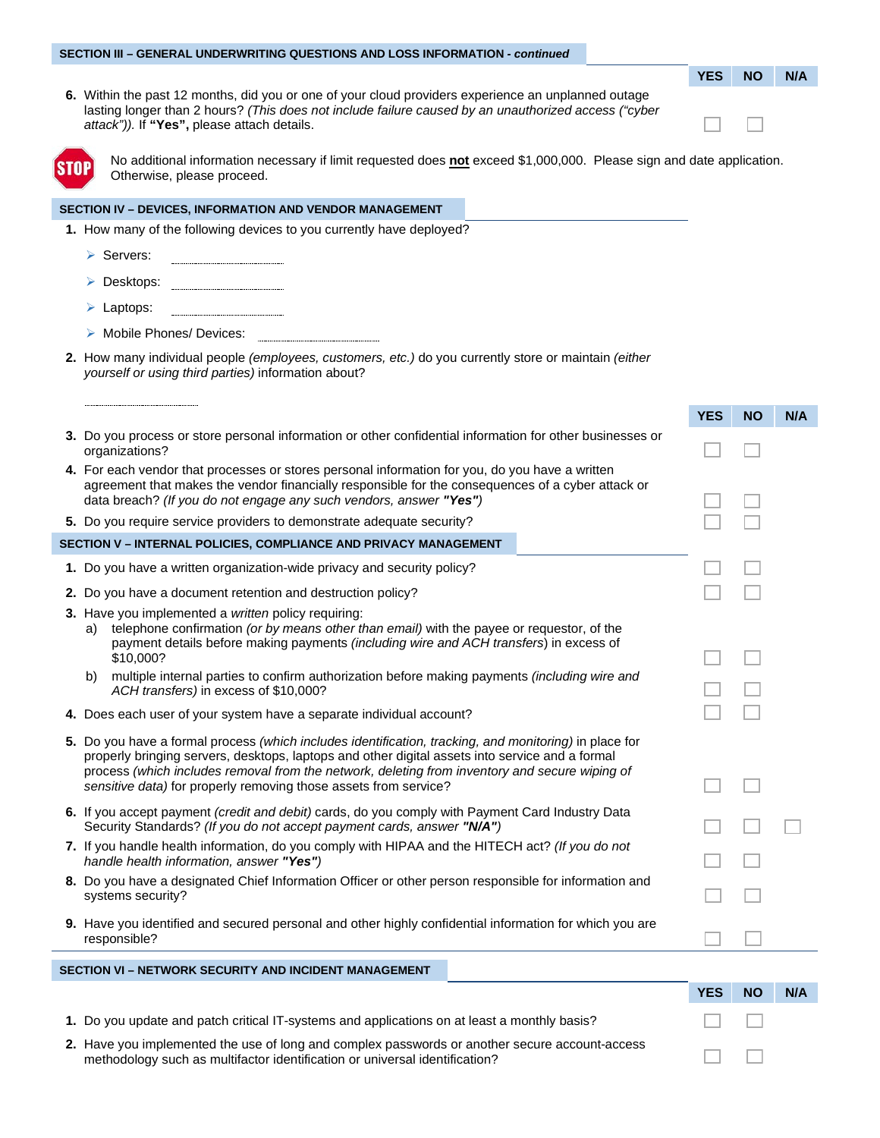#### **SECTION III – GENERAL UNDERWRITING QUESTIONS AND LOSS INFORMATION** *- continued*

| <b>YES</b> | NΟ | N/A |
|------------|----|-----|
|            |    |     |

an an

m in

**6.** Within the past 12 months, did you or one of your cloud providers experience an unplanned outage lasting longer than 2 hours? *(This does not include failure caused by an unauthorized access ("cyber attack")).* If **"Yes",** please attach details.



No additional information necessary if limit requested does **not** exceed \$1,000,000. Please sign and date application. Otherwise, please proceed.

#### **SECTION IV – DEVICES, INFORMATION AND VENDOR MANAGEMENT**

**1.** How many of the following devices to you currently have deployed?

Servers:

Desktops:

- Laptops:
- > Mobile Phones/ Devices:
- **2.** How many individual people *(employees, customers, etc.)* do you currently store or maintain *(either yourself or using third parties)* information about?

|                                                              |                                                                                                                                                                                                                                                                                                                                                                                 | <b>YES</b> | <b>NO</b> | N/A |
|--------------------------------------------------------------|---------------------------------------------------------------------------------------------------------------------------------------------------------------------------------------------------------------------------------------------------------------------------------------------------------------------------------------------------------------------------------|------------|-----------|-----|
|                                                              | 3. Do you process or store personal information or other confidential information for other businesses or<br>organizations?                                                                                                                                                                                                                                                     |            |           |     |
|                                                              | 4. For each vendor that processes or stores personal information for you, do you have a written<br>agreement that makes the vendor financially responsible for the consequences of a cyber attack or<br>data breach? (If you do not engage any such vendors, answer "Yes")                                                                                                      |            |           |     |
|                                                              | 5. Do you require service providers to demonstrate adequate security?                                                                                                                                                                                                                                                                                                           |            |           |     |
|                                                              | SECTION V - INTERNAL POLICIES, COMPLIANCE AND PRIVACY MANAGEMENT                                                                                                                                                                                                                                                                                                                |            |           |     |
|                                                              | 1. Do you have a written organization-wide privacy and security policy?                                                                                                                                                                                                                                                                                                         |            |           |     |
|                                                              | 2. Do you have a document retention and destruction policy?                                                                                                                                                                                                                                                                                                                     |            |           |     |
|                                                              | 3. Have you implemented a written policy requiring:<br>telephone confirmation (or by means other than email) with the payee or requestor, of the<br>a)<br>payment details before making payments (including wire and ACH transfers) in excess of<br>\$10,000?                                                                                                                   |            |           |     |
|                                                              | multiple internal parties to confirm authorization before making payments (including wire and<br>b)<br>ACH transfers) in excess of \$10,000?                                                                                                                                                                                                                                    |            |           |     |
|                                                              | 4. Does each user of your system have a separate individual account?                                                                                                                                                                                                                                                                                                            |            |           |     |
|                                                              | 5. Do you have a formal process (which includes identification, tracking, and monitoring) in place for<br>properly bringing servers, desktops, laptops and other digital assets into service and a formal<br>process (which includes removal from the network, deleting from inventory and secure wiping of<br>sensitive data) for properly removing those assets from service? |            |           |     |
|                                                              | 6. If you accept payment <i>(credit and debit)</i> cards, do you comply with Payment Card Industry Data<br>Security Standards? (If you do not accept payment cards, answer "N/A")                                                                                                                                                                                               |            |           |     |
|                                                              | 7. If you handle health information, do you comply with HIPAA and the HITECH act? (If you do not<br>handle health information, answer "Yes")                                                                                                                                                                                                                                    |            |           |     |
|                                                              | 8. Do you have a designated Chief Information Officer or other person responsible for information and<br>systems security?                                                                                                                                                                                                                                                      |            |           |     |
|                                                              | 9. Have you identified and secured personal and other highly confidential information for which you are<br>responsible?                                                                                                                                                                                                                                                         |            |           |     |
| <b>SECTION VI - NETWORK SECURITY AND INCIDENT MANAGEMENT</b> |                                                                                                                                                                                                                                                                                                                                                                                 |            |           |     |
|                                                              |                                                                                                                                                                                                                                                                                                                                                                                 | <b>YES</b> | <b>NO</b> | N/A |
|                                                              | 1. Do you update and patch critical IT-systems and applications on at least a monthly basis?                                                                                                                                                                                                                                                                                    |            |           |     |

**2.** Have you implemented the use of long and complex passwords or another secure account-access methodology such as multifactor identification or universal identification?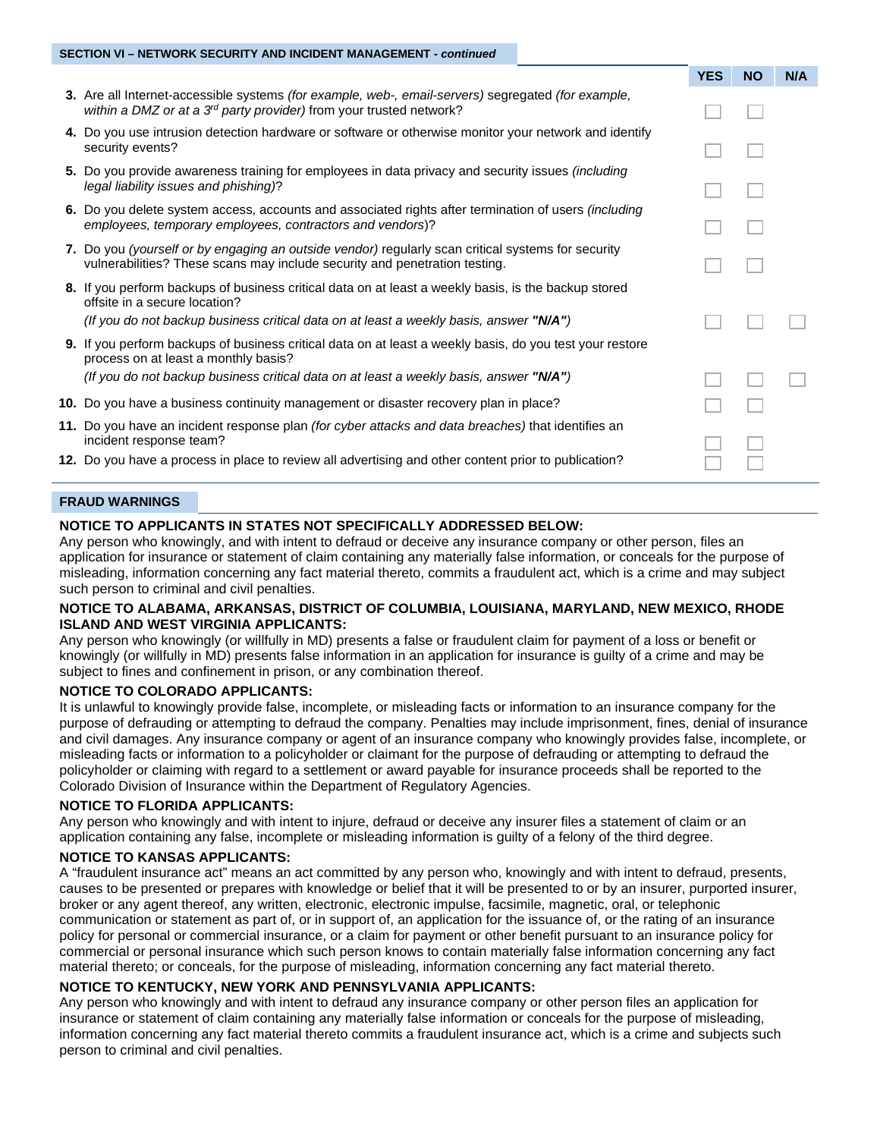#### **SECTION VI – NETWORK SECURITY AND INCIDENT MANAGEMENT** *- continued*

|                                                                                                                                                                                                                                     | <b>YES</b> | <b>NO</b> | N/A |
|-------------------------------------------------------------------------------------------------------------------------------------------------------------------------------------------------------------------------------------|------------|-----------|-----|
| <b>3.</b> Are all Internet-accessible systems <i>(for example, web-, email-servers)</i> segregated <i>(for example,</i><br>within a DMZ or at a 3 <sup>rd</sup> party provider) from your trusted network?                          |            |           |     |
| 4. Do you use intrusion detection hardware or software or otherwise monitor your network and identify<br>security events?                                                                                                           |            |           |     |
| 5. Do you provide awareness training for employees in data privacy and security issues <i>(including</i><br>legal liability issues and phishing)?                                                                                   |            |           |     |
| 6. Do you delete system access, accounts and associated rights after termination of users <i>(including</i> )<br>employees, temporary employees, contractors and vendors)?                                                          |            |           |     |
| 7. Do you (yourself or by engaging an outside vendor) regularly scan critical systems for security<br>vulnerabilities? These scans may include security and penetration testing.                                                    |            |           |     |
| 8. If you perform backups of business critical data on at least a weekly basis, is the backup stored<br>offsite in a secure location?<br>(If you do not backup business critical data on at least a weekly basis, answer " $N/A$ ") |            |           |     |
| 9. If you perform backups of business critical data on at least a weekly basis, do you test your restore<br>process on at least a monthly basis?                                                                                    |            |           |     |
| (If you do not backup business critical data on at least a weekly basis, answer " $N/A$ ")                                                                                                                                          |            |           |     |
| 10. Do you have a business continuity management or disaster recovery plan in place?                                                                                                                                                |            |           |     |
| 11. Do you have an incident response plan <i>(for cyber attacks and data breaches)</i> that identifies an<br>incident response team?                                                                                                |            |           |     |
| 12. Do you have a process in place to review all advertising and other content prior to publication?                                                                                                                                |            |           |     |
|                                                                                                                                                                                                                                     |            |           |     |

#### **FRAUD WARNINGS**

#### **NOTICE TO APPLICANTS IN STATES NOT SPECIFICALLY ADDRESSED BELOW:**

Any person who knowingly, and with intent to defraud or deceive any insurance company or other person, files an application for insurance or statement of claim containing any materially false information, or conceals for the purpose of misleading, information concerning any fact material thereto, commits a fraudulent act, which is a crime and may subject such person to criminal and civil penalties.

#### **NOTICE TO ALABAMA, ARKANSAS, DISTRICT OF COLUMBIA, LOUISIANA, MARYLAND, NEW MEXICO, RHODE ISLAND AND WEST VIRGINIA APPLICANTS:**

Any person who knowingly (or willfully in MD) presents a false or fraudulent claim for payment of a loss or benefit or knowingly (or willfully in MD) presents false information in an application for insurance is guilty of a crime and may be subject to fines and confinement in prison, or any combination thereof.

#### **NOTICE TO COLORADO APPLICANTS:**

It is unlawful to knowingly provide false, incomplete, or misleading facts or information to an insurance company for the purpose of defrauding or attempting to defraud the company. Penalties may include imprisonment, fines, denial of insurance and civil damages. Any insurance company or agent of an insurance company who knowingly provides false, incomplete, or misleading facts or information to a policyholder or claimant for the purpose of defrauding or attempting to defraud the policyholder or claiming with regard to a settlement or award payable for insurance proceeds shall be reported to the Colorado Division of Insurance within the Department of Regulatory Agencies.

#### **NOTICE TO FLORIDA APPLICANTS:**

Any person who knowingly and with intent to injure, defraud or deceive any insurer files a statement of claim or an application containing any false, incomplete or misleading information is guilty of a felony of the third degree.

#### **NOTICE TO KANSAS APPLICANTS:**

A "fraudulent insurance act" means an act committed by any person who, knowingly and with intent to defraud, presents, causes to be presented or prepares with knowledge or belief that it will be presented to or by an insurer, purported insurer, broker or any agent thereof, any written, electronic, electronic impulse, facsimile, magnetic, oral, or telephonic communication or statement as part of, or in support of, an application for the issuance of, or the rating of an insurance policy for personal or commercial insurance, or a claim for payment or other benefit pursuant to an insurance policy for commercial or personal insurance which such person knows to contain materially false information concerning any fact material thereto; or conceals, for the purpose of misleading, information concerning any fact material thereto.

#### **NOTICE TO KENTUCKY, NEW YORK AND PENNSYLVANIA APPLICANTS:**

Any person who knowingly and with intent to defraud any insurance company or other person files an application for insurance or statement of claim containing any materially false information or conceals for the purpose of misleading, information concerning any fact material thereto commits a fraudulent insurance act, which is a crime and subjects such person to criminal and civil penalties.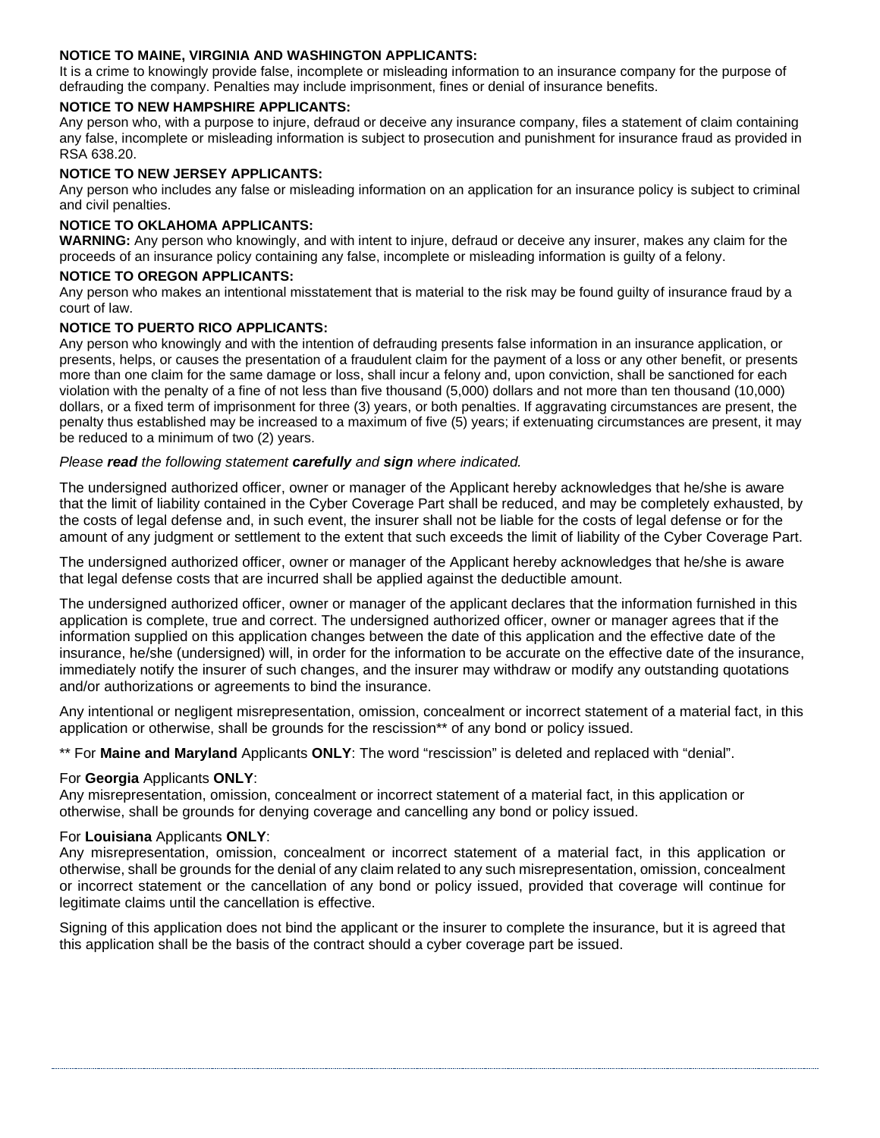## **NOTICE TO MAINE, VIRGINIA AND WASHINGTON APPLICANTS:**

It is a crime to knowingly provide false, incomplete or misleading information to an insurance company for the purpose of defrauding the company. Penalties may include imprisonment, fines or denial of insurance benefits.

#### **NOTICE TO NEW HAMPSHIRE APPLICANTS:**

Any person who, with a purpose to injure, defraud or deceive any insurance company, files a statement of claim containing any false, incomplete or misleading information is subject to prosecution and punishment for insurance fraud as provided in RSA 638.20.

## **NOTICE TO NEW JERSEY APPLICANTS:**

Any person who includes any false or misleading information on an application for an insurance policy is subject to criminal and civil penalties.

#### **NOTICE TO OKLAHOMA APPLICANTS:**

**WARNING:** Any person who knowingly, and with intent to injure, defraud or deceive any insurer, makes any claim for the proceeds of an insurance policy containing any false, incomplete or misleading information is guilty of a felony.

## **NOTICE TO OREGON APPLICANTS:**

Any person who makes an intentional misstatement that is material to the risk may be found guilty of insurance fraud by a court of law.

#### **NOTICE TO PUERTO RICO APPLICANTS:**

Any person who knowingly and with the intention of defrauding presents false information in an insurance application, or presents, helps, or causes the presentation of a fraudulent claim for the payment of a loss or any other benefit, or presents more than one claim for the same damage or loss, shall incur a felony and, upon conviction, shall be sanctioned for each violation with the penalty of a fine of not less than five thousand (5,000) dollars and not more than ten thousand (10,000) dollars, or a fixed term of imprisonment for three (3) years, or both penalties. If aggravating circumstances are present, the penalty thus established may be increased to a maximum of five (5) years; if extenuating circumstances are present, it may be reduced to a minimum of two (2) years.

#### *Please read the following statement carefully and sign where indicated.*

The undersigned authorized officer, owner or manager of the Applicant hereby acknowledges that he/she is aware that the limit of liability contained in the Cyber Coverage Part shall be reduced, and may be completely exhausted, by the costs of legal defense and, in such event, the insurer shall not be liable for the costs of legal defense or for the amount of any judgment or settlement to the extent that such exceeds the limit of liability of the Cyber Coverage Part.

The undersigned authorized officer, owner or manager of the Applicant hereby acknowledges that he/she is aware that legal defense costs that are incurred shall be applied against the deductible amount.

The undersigned authorized officer, owner or manager of the applicant declares that the information furnished in this application is complete, true and correct. The undersigned authorized officer, owner or manager agrees that if the information supplied on this application changes between the date of this application and the effective date of the insurance, he/she (undersigned) will, in order for the information to be accurate on the effective date of the insurance, immediately notify the insurer of such changes, and the insurer may withdraw or modify any outstanding quotations and/or authorizations or agreements to bind the insurance.

Any intentional or negligent misrepresentation, omission, concealment or incorrect statement of a material fact, in this application or otherwise, shall be grounds for the rescission\*\* of any bond or policy issued.

\*\* For **Maine and Maryland** Applicants **ONLY**: The word "rescission" is deleted and replaced with "denial".

## For **Georgia** Applicants **ONLY**:

Any misrepresentation, omission, concealment or incorrect statement of a material fact, in this application or otherwise, shall be grounds for denying coverage and cancelling any bond or policy issued.

## For **Louisiana** Applicants **ONLY**:

Any misrepresentation, omission, concealment or incorrect statement of a material fact, in this application or otherwise, shall be grounds for the denial of any claim related to any such misrepresentation, omission, concealment or incorrect statement or the cancellation of any bond or policy issued, provided that coverage will continue for legitimate claims until the cancellation is effective.

Signing of this application does not bind the applicant or the insurer to complete the insurance, but it is agreed that this application shall be the basis of the contract should a cyber coverage part be issued.